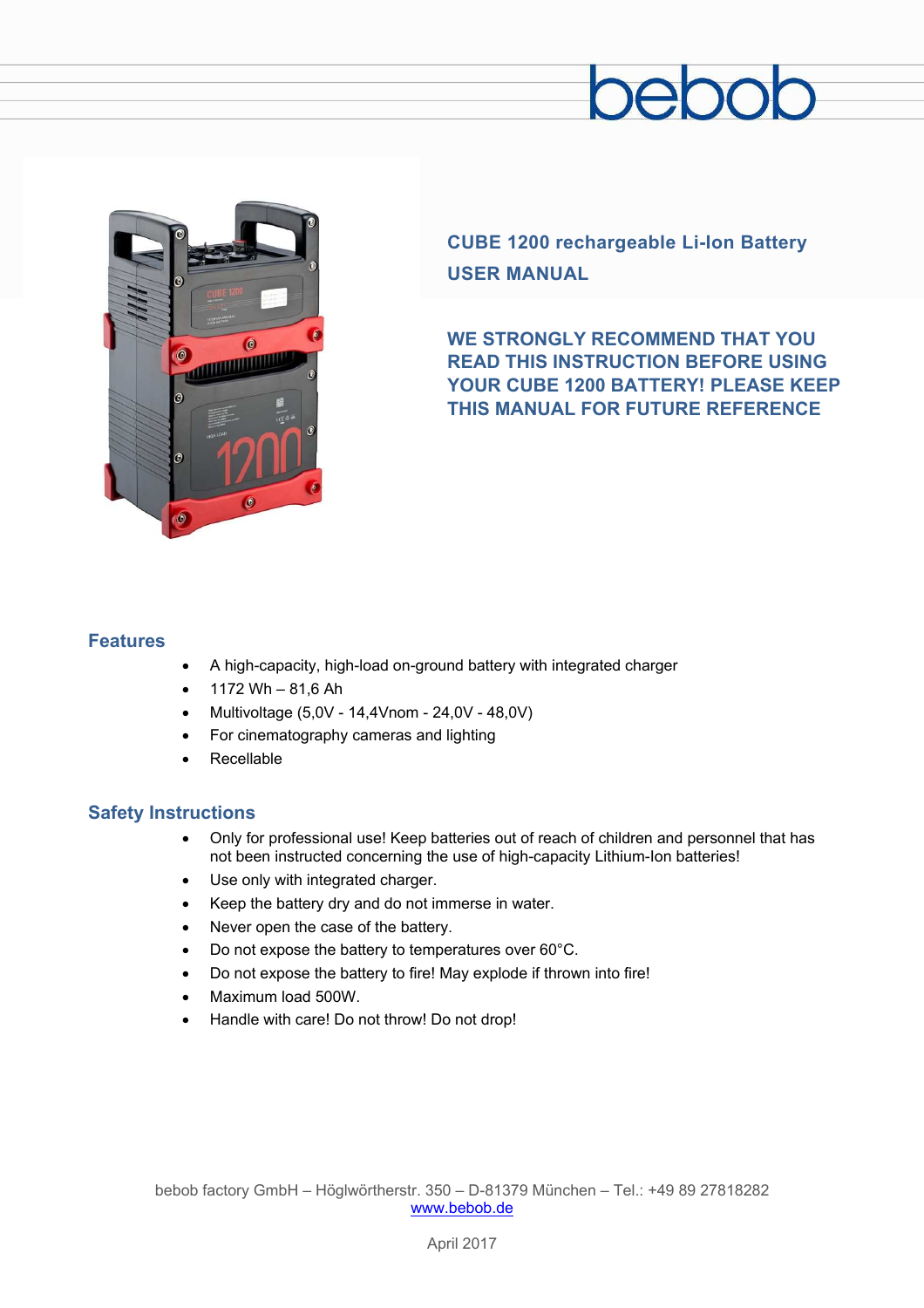# pepor



**CUBE 1200 rechargeable Li-Ion Battery USER MANUAL** 

**WE STRONGLY RECOMMEND THAT YOU READ THIS INSTRUCTION BEFORE USING YOUR CUBE 1200 BATTERY! PLEASE KEEP THIS MANUAL FOR FUTURE REFERENCE** 

#### **Features**

- A high-capacity, high-load on-ground battery with integrated charger
- 1172 Wh 81,6 Ah
- Multivoltage (5,0V 14,4Vnom 24,0V 48,0V)
- For cinematography cameras and lighting
- Recellable

#### **Safety Instructions**

- Only for professional use! Keep batteries out of reach of children and personnel that has not been instructed concerning the use of high-capacity Lithium-Ion batteries!
- Use only with integrated charger.
- Keep the battery dry and do not immerse in water.
- Never open the case of the battery.
- Do not expose the battery to temperatures over 60°C.
- Do not expose the battery to fire! May explode if thrown into fire!
- Maximum load 500W.
- Handle with care! Do not throw! Do not drop!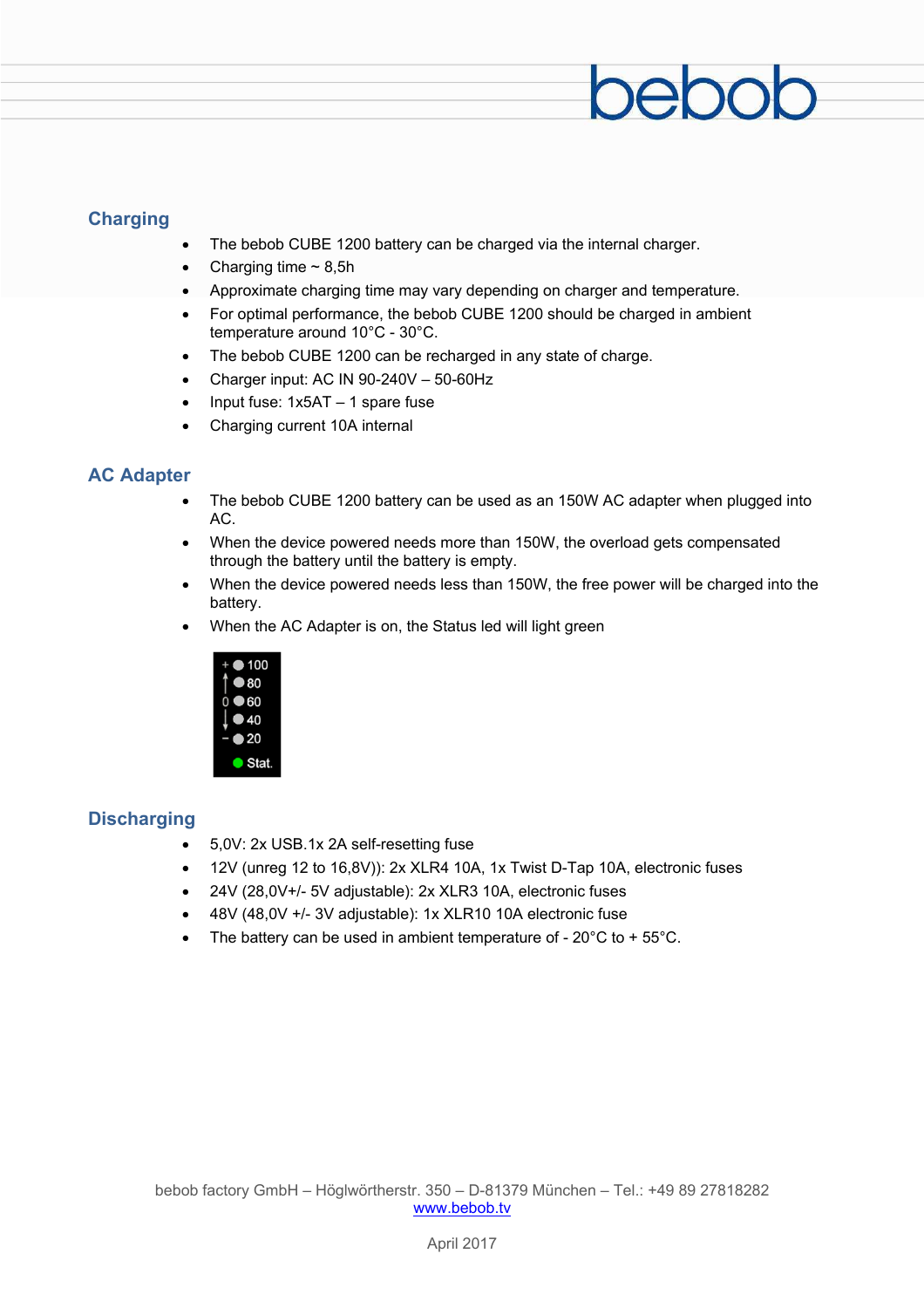### **Charging**

- The bebob CUBE 1200 battery can be charged via the internal charger.
- Charging time  $\sim$  8,5h
- Approximate charging time may vary depending on charger and temperature.
- For optimal performance, the bebob CUBE 1200 should be charged in ambient temperature around 10°C - 30°C.

pebc

- The bebob CUBE 1200 can be recharged in any state of charge.
- Charger input: AC IN 90-240V 50-60Hz
- Input fuse: 1x5AT 1 spare fuse
- Charging current 10A internal

#### **AC Adapter**

- The bebob CUBE 1200 battery can be used as an 150W AC adapter when plugged into AC.
- When the device powered needs more than 150W, the overload gets compensated through the battery until the battery is empty.
- When the device powered needs less than 150W, the free power will be charged into the battery.
- When the AC Adapter is on, the Status led will light green



#### **Discharging**

- 5,0V: 2x USB.1x 2A self-resetting fuse
- 12V (unreg 12 to 16,8V)): 2x XLR4 10A, 1x Twist D-Tap 10A, electronic fuses
- 24V (28,0V+/- 5V adjustable): 2x XLR3 10A, electronic fuses
- 48V (48,0V +/- 3V adjustable): 1x XLR10 10A electronic fuse
- The battery can be used in ambient temperature of  $20^{\circ}$ C to +  $55^{\circ}$ C.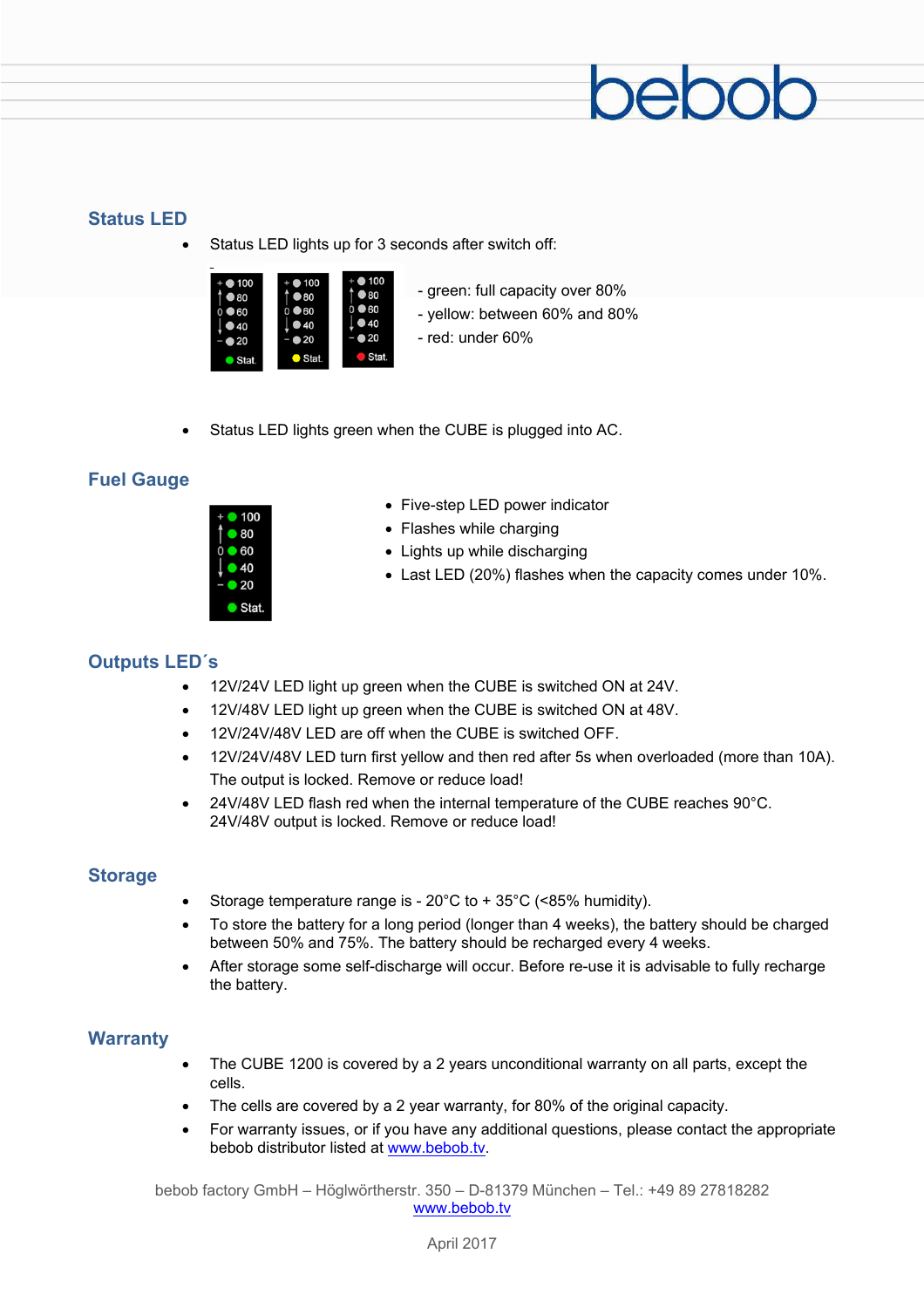### **Status LED**

Status LED lights up for 3 seconds after switch off:



- green: full capacity over 80%
- yellow: between 60% and 80%
- red: under 60%
- Status LED lights green when the CUBE is plugged into AC.

# **Fuel Gauge**



- Five-step LED power indicator
- Flashes while charging
- Lights up while discharging
- Last LED (20%) flashes when the capacity comes under 10%.

# **Outputs LED´s**

- 12V/24V LED light up green when the CUBE is switched ON at 24V.
- 12V/48V LED light up green when the CUBE is switched ON at 48V.
- 12V/24V/48V LED are off when the CUBE is switched OFF.
- 12V/24V/48V LED turn first yellow and then red after 5s when overloaded (more than 10A). The output is locked. Remove or reduce load!
- 24V/48V LED flash red when the internal temperature of the CUBE reaches 90°C. 24V/48V output is locked. Remove or reduce load!

#### **Storage**

- Storage temperature range is 20°C to + 35°C (<85% humidity).
- To store the battery for a long period (longer than 4 weeks), the battery should be charged between 50% and 75%. The battery should be recharged every 4 weeks.
- After storage some self-discharge will occur. Before re-use it is advisable to fully recharge the battery.

#### **Warranty**

- The CUBE 1200 is covered by a 2 years unconditional warranty on all parts, except the cells.
- The cells are covered by a 2 year warranty, for 80% of the original capacity.
- For warranty issues, or if you have any additional questions, please contact the appropriate bebob distributor listed at www.bebob.tv.

bebob factory GmbH – Höglwörtherstr. 350 – D-81379 München – Tel.: +49 89 27818282 www.bebob.tv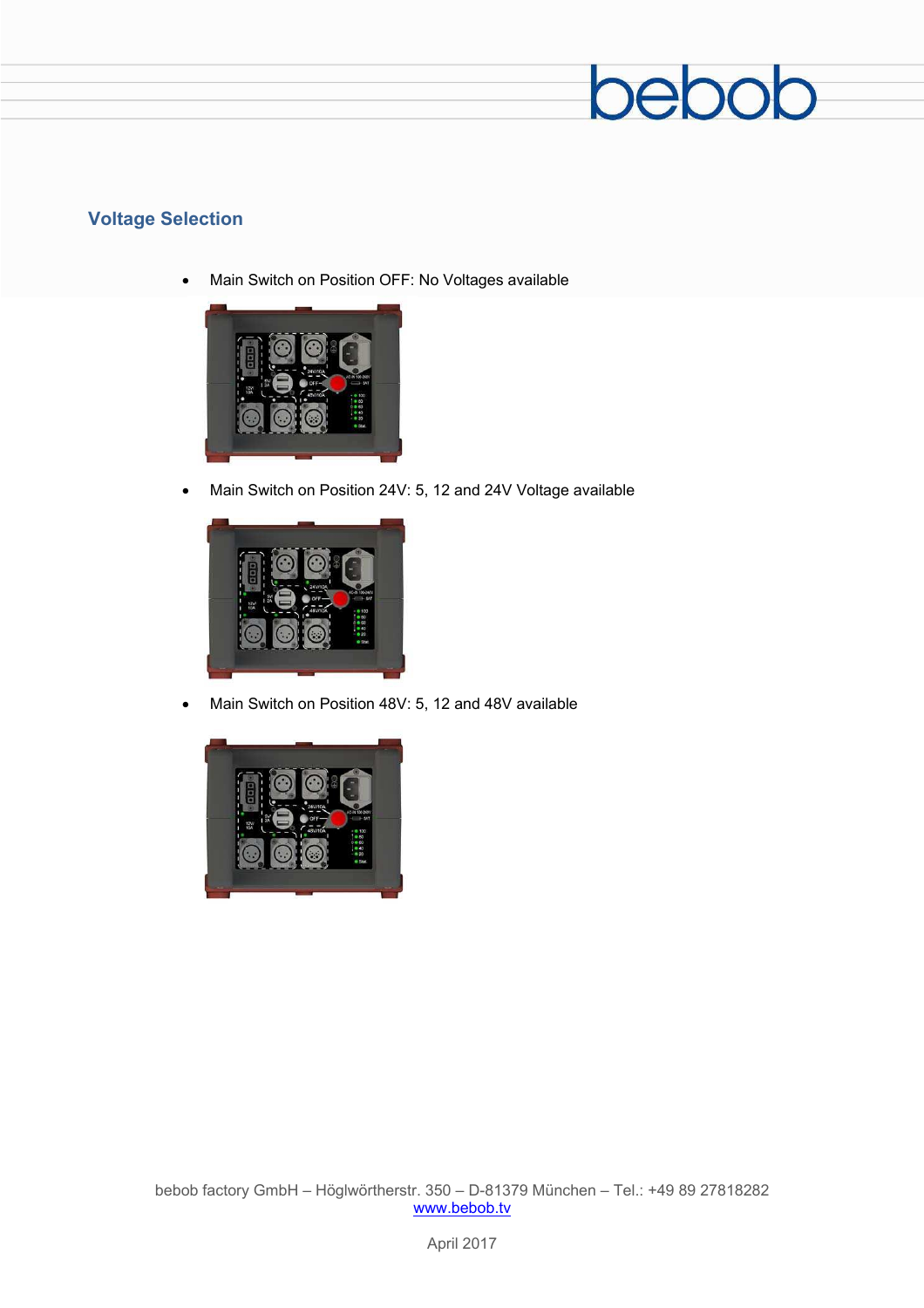

# **Voltage Selection**

Main Switch on Position OFF: No Voltages available



Main Switch on Position 24V: 5, 12 and 24V Voltage available



Main Switch on Position 48V: 5, 12 and 48V available

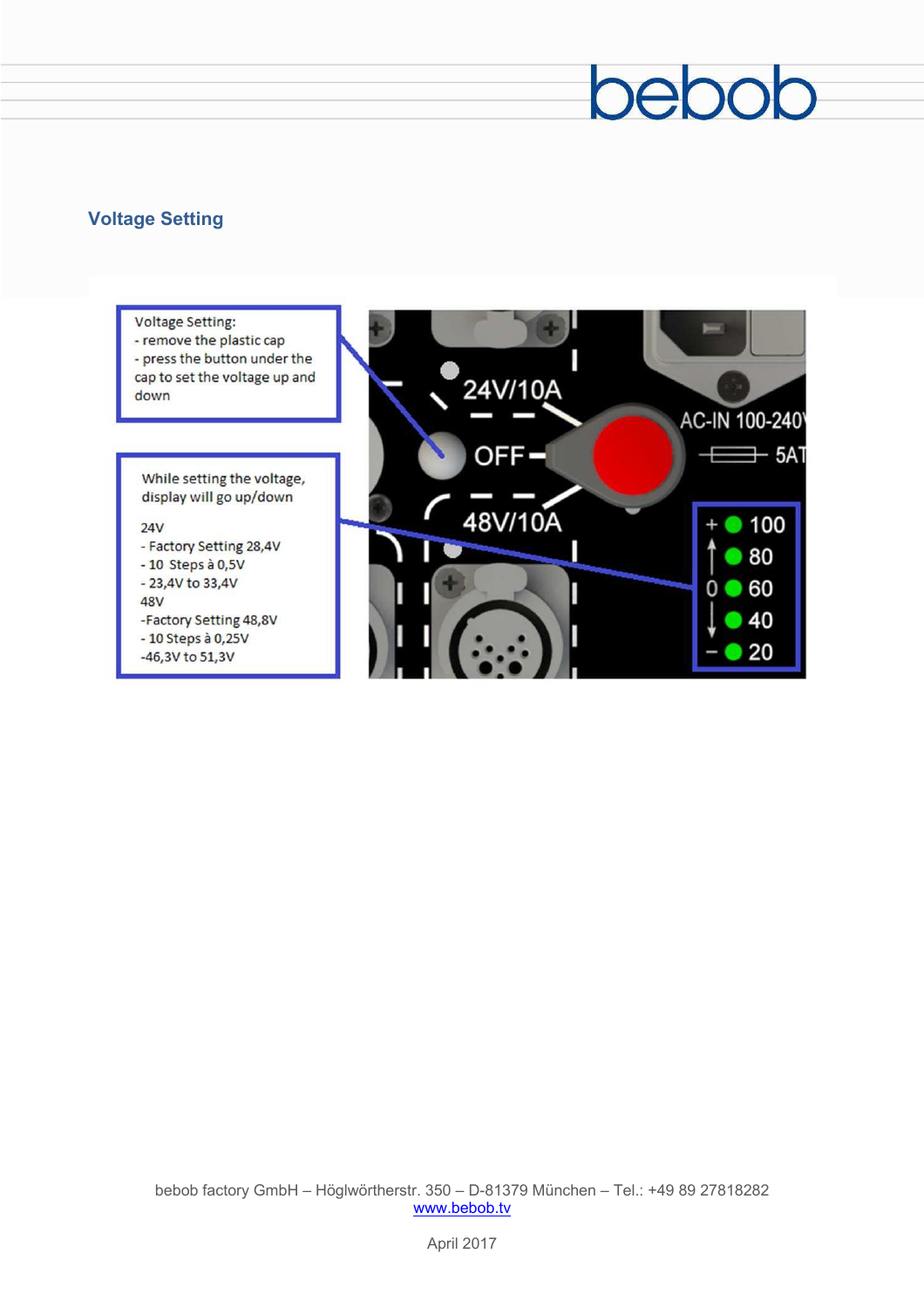# bebob

# **Voltage Setting**

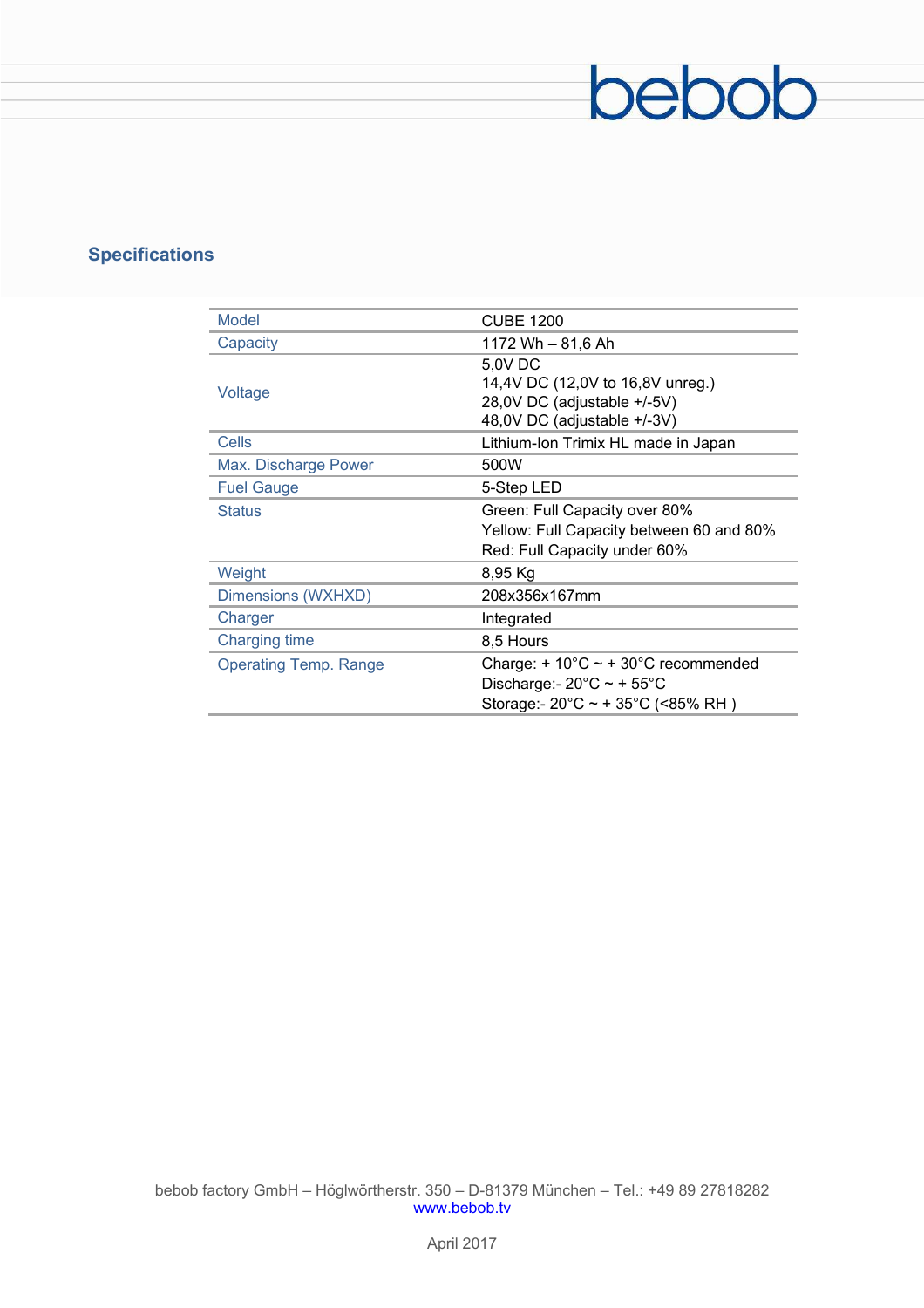# **Specifications**

| Model                        | <b>CUBE 1200</b>                                                                                                                                                   |
|------------------------------|--------------------------------------------------------------------------------------------------------------------------------------------------------------------|
| Capacity                     | 1172 Wh - 81,6 Ah                                                                                                                                                  |
| Voltage                      | 5,0V DC<br>14,4V DC (12,0V to 16,8V unreg.)<br>28,0V DC (adjustable +/-5V)<br>48,0V DC (adjustable +/-3V)                                                          |
| Cells                        | Lithium-Ion Trimix HL made in Japan                                                                                                                                |
| Max. Discharge Power         | 500W                                                                                                                                                               |
| <b>Fuel Gauge</b>            | 5-Step LED                                                                                                                                                         |
| <b>Status</b>                | Green: Full Capacity over 80%                                                                                                                                      |
|                              | Yellow: Full Capacity between 60 and 80%<br>Red: Full Capacity under 60%                                                                                           |
| Weight                       | 8,95 Kg                                                                                                                                                            |
| Dimensions (WXHXD)           | 208x356x167mm                                                                                                                                                      |
| Charger                      | Integrated                                                                                                                                                         |
| Charging time                | 8,5 Hours                                                                                                                                                          |
| <b>Operating Temp. Range</b> | Charge: + $10^{\circ}$ C ~ + $30^{\circ}$ C recommended<br>Discharge:- $20^{\circ}$ C ~ + $55^{\circ}$ C<br>Storage:- $20^{\circ}$ C ~ + 35 $^{\circ}$ C (<85% RH) |

bebob